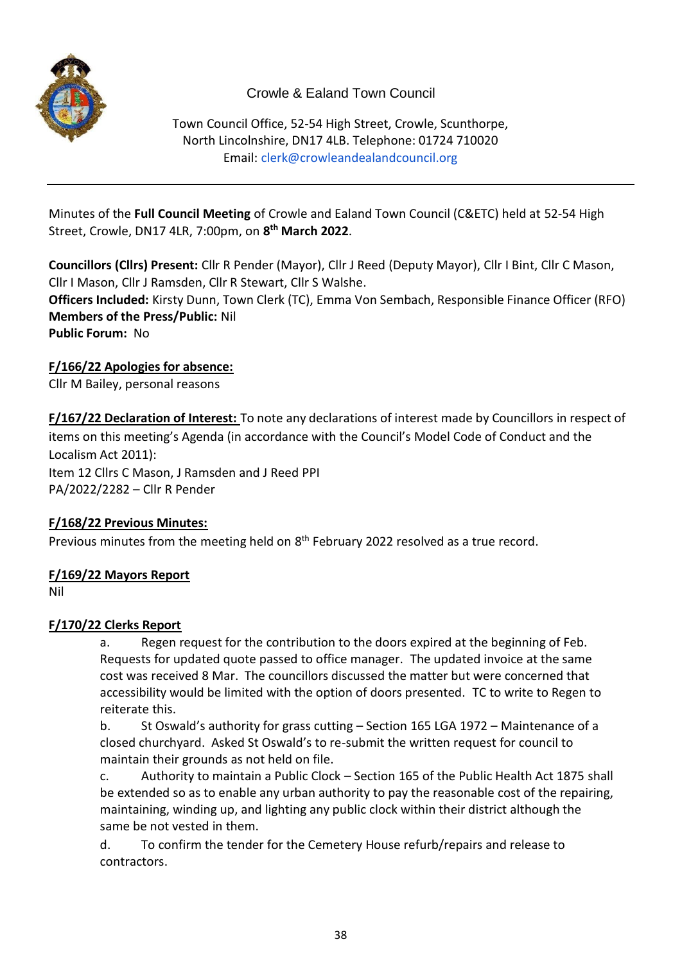

# Crowle & Ealand Town Council

Town Council Office, 52-54 High Street, Crowle, Scunthorpe, North Lincolnshire, DN17 4LB. Telephone: 01724 710020 Email: [clerk@crowleandealandcouncil.org](mailto:clerk@crowleandealandcouncil.org)

Minutes of the **Full Council Meeting** of Crowle and Ealand Town Council (C&ETC) held at 52-54 High Street, Crowle, DN17 4LR, 7:00pm, on **8 th March 2022**.

**Councillors (Cllrs) Present:** Cllr R Pender (Mayor), Cllr J Reed (Deputy Mayor), Cllr I Bint, Cllr C Mason, Cllr I Mason, Cllr J Ramsden, Cllr R Stewart, Cllr S Walshe. **Officers Included:** Kirsty Dunn, Town Clerk (TC), Emma Von Sembach, Responsible Finance Officer (RFO) **Members of the Press/Public:** Nil **Public Forum:** No

### **F/166/22 Apologies for absence:**

Cllr M Bailey, personal reasons

**F/167/22 Declaration of Interest:** To note any declarations of interest made by Councillors in respect of items on this meeting's Agenda (in accordance with the Council's Model Code of Conduct and the Localism Act 2011): Item 12 Cllrs C Mason, J Ramsden and J Reed PPI PA/2022/2282 – Cllr R Pender

#### **F/168/22 Previous Minutes:**

Previous minutes from the meeting held on 8<sup>th</sup> February 2022 resolved as a true record.

#### **F/169/22 Mayors Report**

Nil

# **F/170/22 Clerks Report**

a. Regen request for the contribution to the doors expired at the beginning of Feb. Requests for updated quote passed to office manager. The updated invoice at the same cost was received 8 Mar. The councillors discussed the matter but were concerned that accessibility would be limited with the option of doors presented. TC to write to Regen to reiterate this.

b. St Oswald's authority for grass cutting – Section 165 LGA 1972 – Maintenance of a closed churchyard. Asked St Oswald's to re-submit the written request for council to maintain their grounds as not held on file.

c. Authority to maintain a Public Clock – Section 165 of the Public Health Act 1875 shall be extended so as to enable any urban authority to pay the reasonable cost of the repairing, maintaining, winding up, and lighting any public clock within their district although the same be not vested in them.

d. To confirm the tender for the Cemetery House refurb/repairs and release to contractors.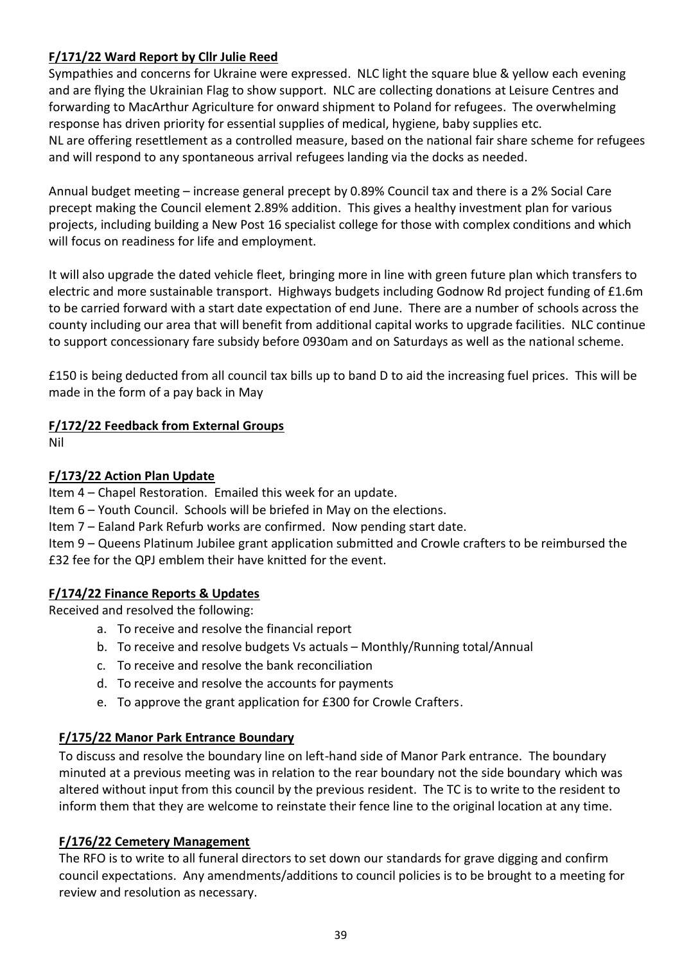## **F/171/22 Ward Report by Cllr Julie Reed**

Sympathies and concerns for Ukraine were expressed. NLC light the square blue & yellow each evening and are flying the Ukrainian Flag to show support. NLC are collecting donations at Leisure Centres and forwarding to MacArthur Agriculture for onward shipment to Poland for refugees. The overwhelming response has driven priority for essential supplies of medical, hygiene, baby supplies etc. NL are offering resettlement as a controlled measure, based on the national fair share scheme for refugees and will respond to any spontaneous arrival refugees landing via the docks as needed.

Annual budget meeting – increase general precept by 0.89% Council tax and there is a 2% Social Care precept making the Council element 2.89% addition. This gives a healthy investment plan for various projects, including building a New Post 16 specialist college for those with complex conditions and which will focus on readiness for life and employment.

It will also upgrade the dated vehicle fleet, bringing more in line with green future plan which transfers to electric and more sustainable transport. Highways budgets including Godnow Rd project funding of £1.6m to be carried forward with a start date expectation of end June. There are a number of schools across the county including our area that will benefit from additional capital works to upgrade facilities. NLC continue to support concessionary fare subsidy before 0930am and on Saturdays as well as the national scheme.

£150 is being deducted from all council tax bills up to band D to aid the increasing fuel prices. This will be made in the form of a pay back in May

### **F/172/22 Feedback from External Groups**

Nil

## **F/173/22 Action Plan Update**

Item 4 – Chapel Restoration. Emailed this week for an update.

Item 6 – Youth Council. Schools will be briefed in May on the elections.

Item 7 – Ealand Park Refurb works are confirmed. Now pending start date.

Item 9 – Queens Platinum Jubilee grant application submitted and Crowle crafters to be reimbursed the £32 fee for the QPJ emblem their have knitted for the event.

#### **F/174/22 Finance Reports & Updates**

Received and resolved the following:

- a. To receive and resolve the financial report
- b. To receive and resolve budgets Vs actuals Monthly/Running total/Annual
- c. To receive and resolve the bank reconciliation
- d. To receive and resolve the accounts for payments
- e. To approve the grant application for £300 for Crowle Crafters.

#### **F/175/22 Manor Park Entrance Boundary**

To discuss and resolve the boundary line on left-hand side of Manor Park entrance. The boundary minuted at a previous meeting was in relation to the rear boundary not the side boundary which was altered without input from this council by the previous resident. The TC is to write to the resident to inform them that they are welcome to reinstate their fence line to the original location at any time.

#### **F/176/22 Cemetery Management**

The RFO is to write to all funeral directors to set down our standards for grave digging and confirm council expectations. Any amendments/additions to council policies is to be brought to a meeting for review and resolution as necessary.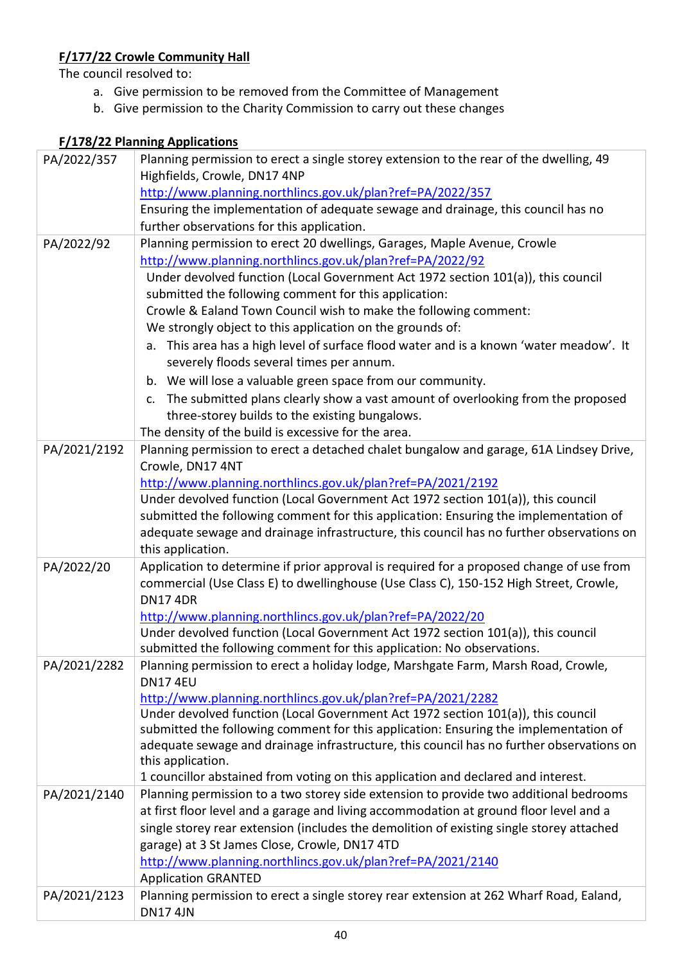# **F/177/22 Crowle Community Hall**

The council resolved to:

- a. Give permission to be removed from the Committee of Management
- b. Give permission to the Charity Commission to carry out these changes

# **F/178/22 Planning Applications**

| PA/2022/357  | Planning permission to erect a single storey extension to the rear of the dwelling, 49                                                                                           |
|--------------|----------------------------------------------------------------------------------------------------------------------------------------------------------------------------------|
|              | Highfields, Crowle, DN17 4NP                                                                                                                                                     |
|              | http://www.planning.northlincs.gov.uk/plan?ref=PA/2022/357                                                                                                                       |
|              | Ensuring the implementation of adequate sewage and drainage, this council has no                                                                                                 |
|              | further observations for this application.                                                                                                                                       |
| PA/2022/92   | Planning permission to erect 20 dwellings, Garages, Maple Avenue, Crowle                                                                                                         |
|              | http://www.planning.northlincs.gov.uk/plan?ref=PA/2022/92                                                                                                                        |
|              | Under devolved function (Local Government Act 1972 section 101(a)), this council                                                                                                 |
|              | submitted the following comment for this application:                                                                                                                            |
|              | Crowle & Ealand Town Council wish to make the following comment:                                                                                                                 |
|              | We strongly object to this application on the grounds of:                                                                                                                        |
|              | a. This area has a high level of surface flood water and is a known 'water meadow'. It                                                                                           |
|              | severely floods several times per annum.                                                                                                                                         |
|              | b. We will lose a valuable green space from our community.                                                                                                                       |
|              | c. The submitted plans clearly show a vast amount of overlooking from the proposed                                                                                               |
|              | three-storey builds to the existing bungalows.                                                                                                                                   |
|              | The density of the build is excessive for the area.                                                                                                                              |
| PA/2021/2192 | Planning permission to erect a detached chalet bungalow and garage, 61A Lindsey Drive,                                                                                           |
|              | Crowle, DN17 4NT                                                                                                                                                                 |
|              | http://www.planning.northlincs.gov.uk/plan?ref=PA/2021/2192                                                                                                                      |
|              | Under devolved function (Local Government Act 1972 section 101(a)), this council                                                                                                 |
|              | submitted the following comment for this application: Ensuring the implementation of                                                                                             |
|              | adequate sewage and drainage infrastructure, this council has no further observations on                                                                                         |
|              | this application.                                                                                                                                                                |
| PA/2022/20   | Application to determine if prior approval is required for a proposed change of use from                                                                                         |
|              | commercial (Use Class E) to dwellinghouse (Use Class C), 150-152 High Street, Crowle,                                                                                            |
|              | <b>DN174DR</b>                                                                                                                                                                   |
|              | http://www.planning.northlincs.gov.uk/plan?ref=PA/2022/20                                                                                                                        |
|              | Under devolved function (Local Government Act 1972 section 101(a)), this council                                                                                                 |
|              | submitted the following comment for this application: No observations.                                                                                                           |
| PA/2021/2282 | Planning permission to erect a holiday lodge, Marshgate Farm, Marsh Road, Crowle,                                                                                                |
|              | <b>DN17 4EU</b>                                                                                                                                                                  |
|              | http://www.planning.northlincs.gov.uk/plan?ref=PA/2021/2282                                                                                                                      |
|              | Under devolved function (Local Government Act 1972 section 101(a)), this council                                                                                                 |
|              | submitted the following comment for this application: Ensuring the implementation of<br>adequate sewage and drainage infrastructure, this council has no further observations on |
|              | this application.                                                                                                                                                                |
|              | 1 councillor abstained from voting on this application and declared and interest.                                                                                                |
| PA/2021/2140 | Planning permission to a two storey side extension to provide two additional bedrooms                                                                                            |
|              | at first floor level and a garage and living accommodation at ground floor level and a                                                                                           |
|              | single storey rear extension (includes the demolition of existing single storey attached                                                                                         |
|              | garage) at 3 St James Close, Crowle, DN17 4TD                                                                                                                                    |
|              | http://www.planning.northlincs.gov.uk/plan?ref=PA/2021/2140                                                                                                                      |
|              | <b>Application GRANTED</b>                                                                                                                                                       |
| PA/2021/2123 |                                                                                                                                                                                  |
|              |                                                                                                                                                                                  |
|              | Planning permission to erect a single storey rear extension at 262 Wharf Road, Ealand,<br><b>DN17 4JN</b>                                                                        |